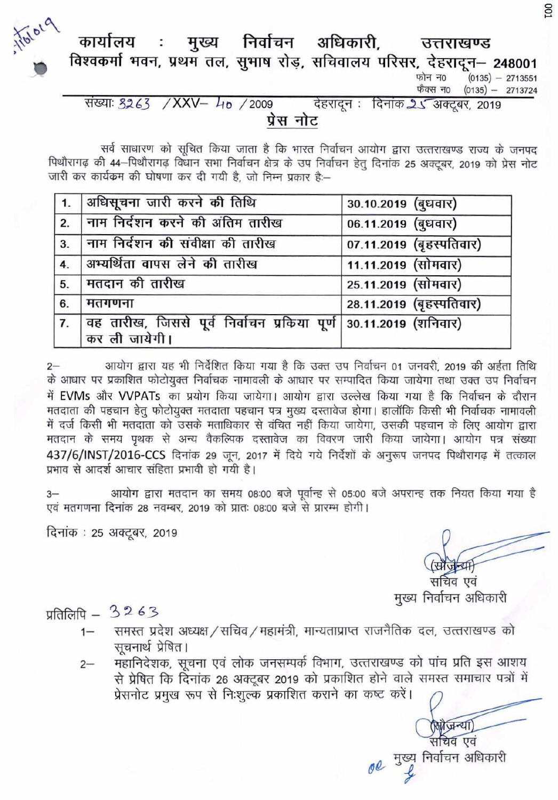

#### मुख्य निर्वाचन अधिकारी, कार्यालय उत्तराखण्ड विश्वकर्मा भवन, प्रथम तल, सुभाष रोड़, सचिवालय परिसर, देहरादून - 248001

 $(0135) - 2713551$ फोन न0 फैक्स न0  $(0135) - 2713724$ 

संख्याः 3263 / XXV- 40 / 2009 देहरादून : दिनांक 25 अक्टूबर, 2019 प्रेस नोट

सर्व साधारण को सूचित किया जाता है कि भारत निर्वाचन आयोग द्वारा उत्तराखण्ड राज्य के जनपद पिथौरागढ़ की 44-पिथौरागढ़ विधान सभा निर्वाचन क्षेत्र के उप निर्वाचन हेतू दिनांक 25 अक्टूबर, 2019 को प्रेस नोट जारी कर कार्यकम की घोषणा कर दी गयी है, जो निम्न प्रकार है:--

|                  | 1.  अधिसूचना जारी करने की तिथि                                                    | 30.10.2019 (बुधवार)      |
|------------------|-----------------------------------------------------------------------------------|--------------------------|
| 2.               | नाम निर्दशन करने की अंतिम तारीख                                                   | 06.11.2019 (बुधवार)      |
| 3.               | नाम निर्दशन की संवीक्षा की तारीख                                                  | 07.11.2019 (बृहस्पतिवार) |
| 4.               | अभ्यर्थिता वापस लेने की तारीख                                                     | 11.11.2019 (सोमवार)      |
| 5.               | मतदान की तारीख                                                                    | 25.11.2019 (सोमवार)      |
| 6.               | मतगणना                                                                            | 28.11.2019 (बृहस्पतिवार) |
| $\overline{7}$ . | वह तारीख, जिससे पूर्व निर्वाचन प्रकिया पूर्ण 30.11.2019 (शनिवार)<br>कर ली जायेगी। |                          |

आयोग द्वारा यह भी निर्देशित किया गया है कि उक्त उप निर्वाचन 01 जनवरी, 2019 की अर्हता तिथि के आधार पर प्रकाशित फोटोयुक्त निर्वाचक नामावली के आधार पर सम्पादित किया जायेगा तथा उक्त उप निर्वाचन में EVMs और VVPATs का प्रयोग किया जायेगा। आयोग द्वारा उल्लेख किया गया है कि निर्वाचन के दौरान मतदाता की पहचान हेतु फोटोयुक्त मतदाता पहचान पत्र मुख्य दस्तावेज होगा। हालॉकि किसी भी निर्वाचक नामावली में दर्ज किसी भी मतदाता को उसके मताधिकार से वंचित नहीं किया जायेगा, उसकी पहचान के लिए आयोग द्वारा मतदान के समय पृथक से अन्य वैकल्पिक दस्तावेज का विवरण जारी किया जायेगा। आयोग पत्र संख्या 437/6/INST/2016-CCS दिनांक 29 जून, 2017 में दिये गये निर्देशों के अनुरूप जनपद पिथौरागढ़ में तत्काल प्रभाव से आदर्श आचार संहिता प्रभावी हो गयी है।

आयोग द्वारा मतदान का समय 08:00 बजे पूर्वान्ह से 05:00 बजे अपरान्ह तक नियत किया गया है  $3 -$ एवं मतगणना दिनांक 28 नवम्बर, 2019 को प्रातः 08:00 बजे से प्रारम्भ होगी।

दिनांक : 25 अक्टूबर, 2019

सचिव एवं मुख्य निर्वाचन अधिकारी

 $\frac{1}{2}$  प्रतिलिपि – 3263

- समस्त प्रदेश अध्यक्ष / सचिव / महामंत्री, मान्यताप्राप्त राजनैतिक दल, उत्तराखण्ड को  $1 -$ सूचनार्थ प्रेषित।
- महानिदेशक, सूचना एवं लोक जनसम्पर्क विभाग, उत्तराखण्ड को पांच प्रति इस आशय  $2 -$ से प्रेषित कि दिनांक 26 अक्टूबर 2019 को प्रकाशित होने वाले समस्त समाचार पत्रों में प्रेसनोट प्रमुख रूप से निःशुल्क प्रकाशित कराने का कष्ट करें।

सचिव एवं 00 मुख्य निर्वाचन अधिकारी

सोजन्या

**DO1**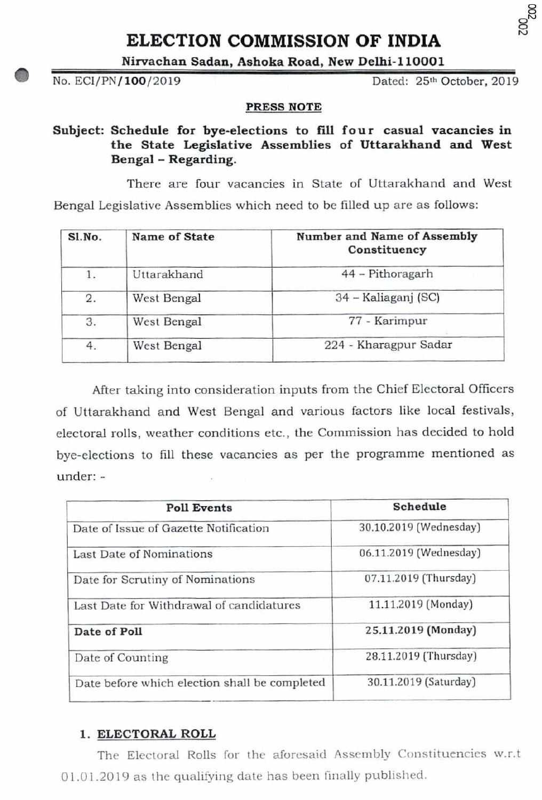# ELECTION COMMISSION OF INDIA

**Nirvachan Sadan, Ashoka Road, New Delhi-110001** 

No. ECI/PN/100/2019

Dated: 25th October, 2019

C) C)

#### **PRESS NOTE**

Subject: Schedule for bye-elections to fill four casual vacancies in **the State Legislative Assemblies of Uttarakhand and West Bengal** - **Regarding.** 

There are four vacancies in State of Uttarakhand and West Bengal Legislative Assemblies which need to be filled up are as follows:

| Sl.No. | Name of State | Number and Name of Assembly<br>Constituency |
|--------|---------------|---------------------------------------------|
|        | Uttarakhand   | 44 - Pithoragarh                            |
| 2.     | West Bengal   | 34 – Kaliaganj (SC)                         |
| 3.     | West Bengal   | 77 - Karimpur                               |
| 4.     | West Bengal   | 224 - Kharagpur Sadar                       |
|        |               |                                             |

After taking into consideration inputs from the Chief Electoral Officers of Uttarakhand and West Bengal and various factors like local festivals, electoral rolls, weather conditions etc., the Commission has decided to hold bye-elections to fill these vacancies as per the programme mentioned as under: -

| Schedule               |
|------------------------|
| 30.10.2019 (Wednesday) |
| 06.11.2019 (Wednesday) |
| 07.11.2019 (Thursday)  |
| 11.11.2019 (Monday)    |
| 25.11.2019 (Monday)    |
| 28.11.2019 (Thursday)  |
| 30.11.2019 (Saturday)  |
|                        |

# **1. ELECTORAL ROLL**

The Electoral Rolls for the aforesaid Assembly Constituencies w.r.t 01.01.20 19 as the qualifying date has been finally published.